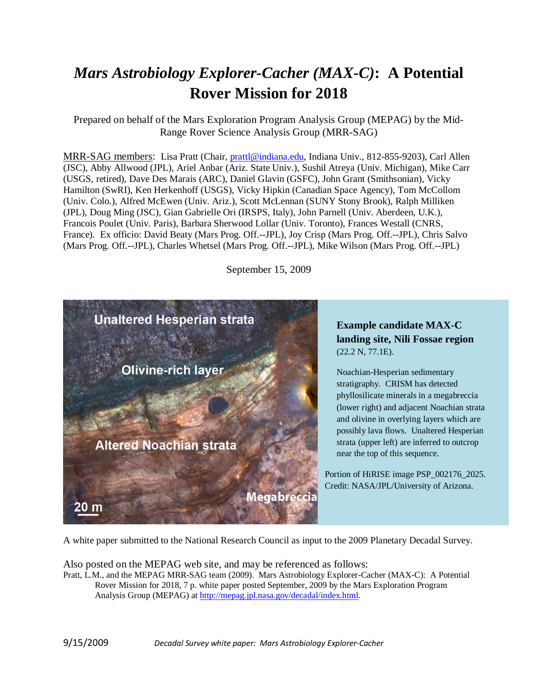# *Mars Astrobiology Explorer-Cacher (MAX-C)***: A Potential Rover Mission for 2018**

Prepared on behalf of the Mars Exploration Program Analysis Group (MEPAG) by the Mid-Range Rover Science Analysis Group (MRR-SAG)

MRR-SAG members: Lisa Pratt (Chair, prattl@indiana.edu, Indiana Univ., 812-855-9203), Carl Allen (JSC), Abby Allwood (JPL), Ariel Anbar (Ariz. State Univ.), Sushil Atreya (Univ. Michigan), Mike Carr (USGS, retired), Dave Des Marais (ARC), Daniel Glavin (GSFC), John Grant (Smithsonian), Vicky Hamilton (SwRI), Ken Herkenhoff (USGS), Vicky Hipkin (Canadian Space Agency), Tom McCollom (Univ. Colo.), Alfred McEwen (Univ. Ariz.), Scott McLennan (SUNY Stony Brook), Ralph Milliken (JPL), Doug Ming (JSC), Gian Gabrielle Ori (IRSPS, Italy), John Parnell (Univ. Aberdeen, U.K.), Francois Poulet (Univ. Paris), Barbara Sherwood Lollar (Univ. Toronto), Frances Westall (CNRS, France). Ex officio: David Beaty (Mars Prog. Off.--JPL), Joy Crisp (Mars Prog. Off.--JPL), Chris Salvo (Mars Prog. Off.--JPL), Charles Whetsel (Mars Prog. Off.--JPL), Mike Wilson (Mars Prog. Off.--JPL)

September 15, 2009



**Example candidate MAX-C landing site, Nili Fossae region**  (22.2 N, 77.1E).

Noachian-Hesperian sedimentary stratigraphy. CRISM has detected phyllosilicate minerals in a megabreccia (lower right) and adjacent Noachian strata and olivine in overlying layers which are possibly lava flows. Unaltered Hesperian strata (upper left) are inferred to outcrop near the top of this sequence.

Portion of HiRISE image PSP\_002176\_2025. Credit: NASA/JPL/University of Arizona.

A white paper submitted to the National Research Council as input to the 2009 Planetary Decadal Survey.

Also posted on the MEPAG web site, and may be referenced as follows:

Pratt, L.M., and the MEPAG MRR-SAG team (2009). Mars Astrobiology Explorer-Cacher (MAX-C): A Potential Rover Mission for 2018, 7 p. white paper posted September, 2009 by the Mars Exploration Program Analysis Group (MEPAG) at http://mepag.jpl.nasa.gov/decadal/index.html.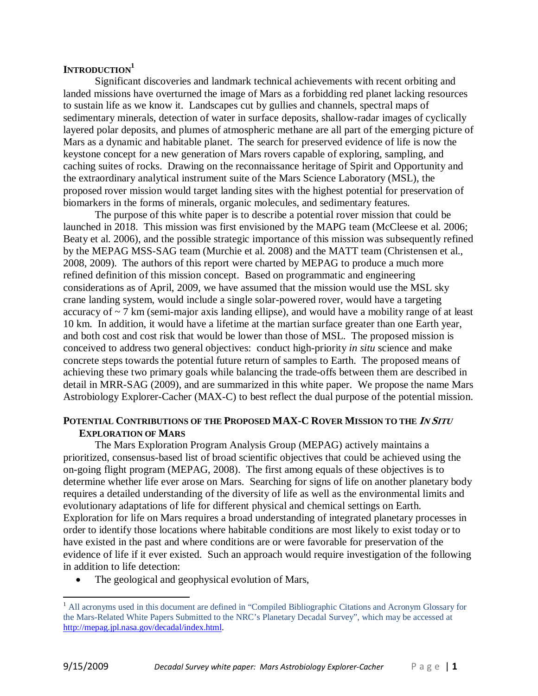## **INTRODUCTION<sup>1</sup>**

Significant discoveries and landmark technical achievements with recent orbiting and landed missions have overturned the image of Mars as a forbidding red planet lacking resources to sustain life as we know it. Landscapes cut by gullies and channels, spectral maps of sedimentary minerals, detection of water in surface deposits, shallow-radar images of cyclically layered polar deposits, and plumes of atmospheric methane are all part of the emerging picture of Mars as a dynamic and habitable planet. The search for preserved evidence of life is now the keystone concept for a new generation of Mars rovers capable of exploring, sampling, and caching suites of rocks. Drawing on the reconnaissance heritage of Spirit and Opportunity and the extraordinary analytical instrument suite of the Mars Science Laboratory (MSL), the proposed rover mission would target landing sites with the highest potential for preservation of biomarkers in the forms of minerals, organic molecules, and sedimentary features.

The purpose of this white paper is to describe a potential rover mission that could be launched in 2018. This mission was first envisioned by the MAPG team (McCleese et al. 2006; Beaty et al. 2006), and the possible strategic importance of this mission was subsequently refined by the MEPAG MSS-SAG team (Murchie et al. 2008) and the MATT team (Christensen et al., 2008, 2009). The authors of this report were charted by MEPAG to produce a much more refined definition of this mission concept. Based on programmatic and engineering considerations as of April, 2009, we have assumed that the mission would use the MSL sky crane landing system, would include a single solar-powered rover, would have a targeting accuracy of  $\sim$  7 km (semi-major axis landing ellipse), and would have a mobility range of at least 10 km. In addition, it would have a lifetime at the martian surface greater than one Earth year, and both cost and cost risk that would be lower than those of MSL. The proposed mission is conceived to address two general objectives: conduct high-priority *in situ* science and make concrete steps towards the potential future return of samples to Earth. The proposed means of achieving these two primary goals while balancing the trade-offs between them are described in detail in MRR-SAG (2009), and are summarized in this white paper. We propose the name Mars Astrobiology Explorer-Cacher (MAX-C) to best reflect the dual purpose of the potential mission.

## **POTENTIAL CONTRIBUTIONS OF THE PROPOSED MAX-C ROVER MISSION TO THE IN SITU EXPLORATION OF MARS**

The Mars Exploration Program Analysis Group (MEPAG) actively maintains a prioritized, consensus-based list of broad scientific objectives that could be achieved using the on-going flight program (MEPAG, 2008). The first among equals of these objectives is to determine whether life ever arose on Mars. Searching for signs of life on another planetary body requires a detailed understanding of the diversity of life as well as the environmental limits and evolutionary adaptations of life for different physical and chemical settings on Earth. Exploration for life on Mars requires a broad understanding of integrated planetary processes in order to identify those locations where habitable conditions are most likely to exist today or to have existed in the past and where conditions are or were favorable for preservation of the evidence of life if it ever existed. Such an approach would require investigation of the following in addition to life detection:

• The geological and geophysical evolution of Mars,

1

<sup>&</sup>lt;sup>1</sup> All acronyms used in this document are defined in "Compiled Bibliographic Citations and Acronym Glossary for the Mars-Related White Papers Submitted to the NRC's Planetary Decadal Survey", which may be accessed at http://mepag.jpl.nasa.gov/decadal/index.html.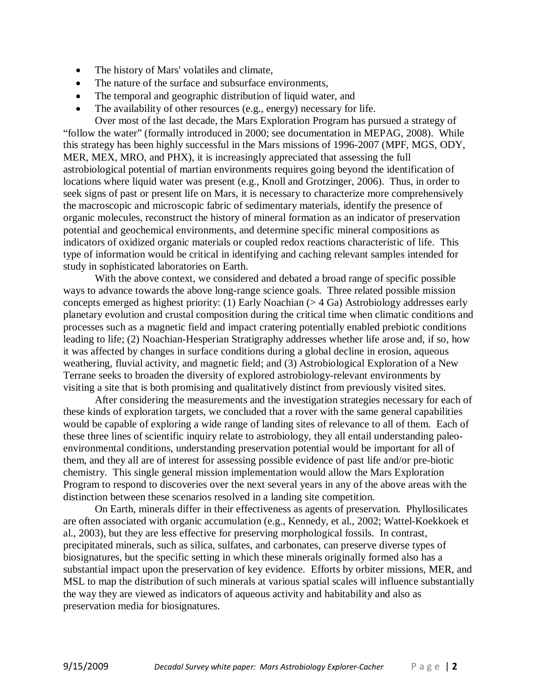- The history of Mars' volatiles and climate,
- The nature of the surface and subsurface environments,
- The temporal and geographic distribution of liquid water, and
- The availability of other resources (e.g., energy) necessary for life.

Over most of the last decade, the Mars Exploration Program has pursued a strategy of "follow the water" (formally introduced in 2000; see documentation in MEPAG, 2008). While this strategy has been highly successful in the Mars missions of 1996-2007 (MPF, MGS, ODY, MER, MEX, MRO, and PHX), it is increasingly appreciated that assessing the full astrobiological potential of martian environments requires going beyond the identification of locations where liquid water was present (e.g., Knoll and Grotzinger, 2006). Thus, in order to seek signs of past or present life on Mars, it is necessary to characterize more comprehensively the macroscopic and microscopic fabric of sedimentary materials, identify the presence of organic molecules, reconstruct the history of mineral formation as an indicator of preservation potential and geochemical environments, and determine specific mineral compositions as indicators of oxidized organic materials or coupled redox reactions characteristic of life. This type of information would be critical in identifying and caching relevant samples intended for study in sophisticated laboratories on Earth.

With the above context, we considered and debated a broad range of specific possible ways to advance towards the above long-range science goals. Three related possible mission concepts emerged as highest priority: (1) Early Noachian (> 4 Ga) Astrobiology addresses early planetary evolution and crustal composition during the critical time when climatic conditions and processes such as a magnetic field and impact cratering potentially enabled prebiotic conditions leading to life; (2) Noachian-Hesperian Stratigraphy addresses whether life arose and, if so, how it was affected by changes in surface conditions during a global decline in erosion, aqueous weathering, fluvial activity, and magnetic field; and (3) Astrobiological Exploration of a New Terrane seeks to broaden the diversity of explored astrobiology-relevant environments by visiting a site that is both promising and qualitatively distinct from previously visited sites.

After considering the measurements and the investigation strategies necessary for each of these kinds of exploration targets, we concluded that a rover with the same general capabilities would be capable of exploring a wide range of landing sites of relevance to all of them. Each of these three lines of scientific inquiry relate to astrobiology, they all entail understanding paleoenvironmental conditions, understanding preservation potential would be important for all of them, and they all are of interest for assessing possible evidence of past life and/or pre-biotic chemistry. This single general mission implementation would allow the Mars Exploration Program to respond to discoveries over the next several years in any of the above areas with the distinction between these scenarios resolved in a landing site competition.

On Earth, minerals differ in their effectiveness as agents of preservation. Phyllosilicates are often associated with organic accumulation (e.g., Kennedy, et al., 2002; Wattel-Koekkoek et al., 2003), but they are less effective for preserving morphological fossils. In contrast, precipitated minerals, such as silica, sulfates, and carbonates, can preserve diverse types of biosignatures, but the specific setting in which these minerals originally formed also has a substantial impact upon the preservation of key evidence. Efforts by orbiter missions, MER, and MSL to map the distribution of such minerals at various spatial scales will influence substantially the way they are viewed as indicators of aqueous activity and habitability and also as preservation media for biosignatures.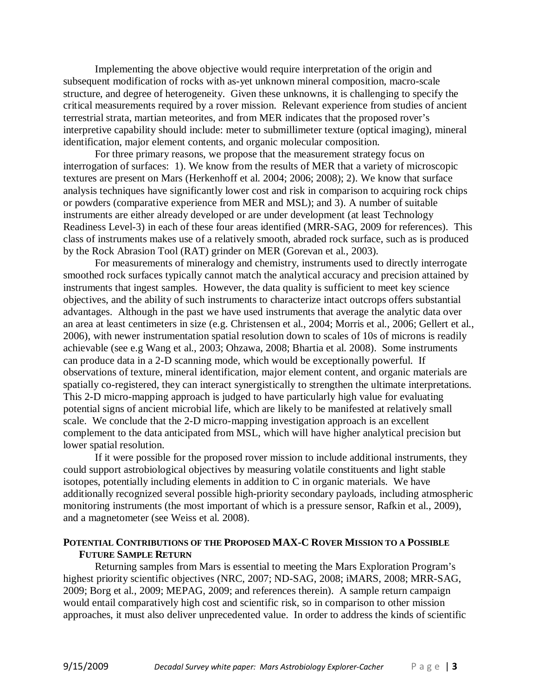Implementing the above objective would require interpretation of the origin and subsequent modification of rocks with as-yet unknown mineral composition, macro-scale structure, and degree of heterogeneity. Given these unknowns, it is challenging to specify the critical measurements required by a rover mission. Relevant experience from studies of ancient terrestrial strata, martian meteorites, and from MER indicates that the proposed rover's interpretive capability should include: meter to submillimeter texture (optical imaging), mineral identification, major element contents, and organic molecular composition.

For three primary reasons, we propose that the measurement strategy focus on interrogation of surfaces: 1). We know from the results of MER that a variety of microscopic textures are present on Mars (Herkenhoff et al. 2004; 2006; 2008); 2). We know that surface analysis techniques have significantly lower cost and risk in comparison to acquiring rock chips or powders (comparative experience from MER and MSL); and 3). A number of suitable instruments are either already developed or are under development (at least Technology Readiness Level-3) in each of these four areas identified (MRR-SAG, 2009 for references). This class of instruments makes use of a relatively smooth, abraded rock surface, such as is produced by the Rock Abrasion Tool (RAT) grinder on MER (Gorevan et al., 2003).

For measurements of mineralogy and chemistry, instruments used to directly interrogate smoothed rock surfaces typically cannot match the analytical accuracy and precision attained by instruments that ingest samples. However, the data quality is sufficient to meet key science objectives, and the ability of such instruments to characterize intact outcrops offers substantial advantages. Although in the past we have used instruments that average the analytic data over an area at least centimeters in size (e.g. Christensen et al., 2004; Morris et al., 2006; Gellert et al., 2006), with newer instrumentation spatial resolution down to scales of 10s of microns is readily achievable (see e.g Wang et al., 2003; Ohzawa, 2008; Bhartia et al. 2008). Some instruments can produce data in a 2-D scanning mode, which would be exceptionally powerful. If observations of texture, mineral identification, major element content, and organic materials are spatially co-registered, they can interact synergistically to strengthen the ultimate interpretations. This 2-D micro-mapping approach is judged to have particularly high value for evaluating potential signs of ancient microbial life, which are likely to be manifested at relatively small scale. We conclude that the 2-D micro-mapping investigation approach is an excellent complement to the data anticipated from MSL, which will have higher analytical precision but lower spatial resolution.

If it were possible for the proposed rover mission to include additional instruments, they could support astrobiological objectives by measuring volatile constituents and light stable isotopes, potentially including elements in addition to C in organic materials. We have additionally recognized several possible high-priority secondary payloads, including atmospheric monitoring instruments (the most important of which is a pressure sensor, Rafkin et al., 2009), and a magnetometer (see Weiss et al. 2008).

## **POTENTIAL CONTRIBUTIONS OF THE PROPOSED MAX-C ROVER MISSION TO A POSSIBLE FUTURE SAMPLE RETURN**

Returning samples from Mars is essential to meeting the Mars Exploration Program's highest priority scientific objectives (NRC, 2007; ND-SAG, 2008; iMARS, 2008; MRR-SAG, 2009; Borg et al., 2009; MEPAG, 2009; and references therein). A sample return campaign would entail comparatively high cost and scientific risk, so in comparison to other mission approaches, it must also deliver unprecedented value. In order to address the kinds of scientific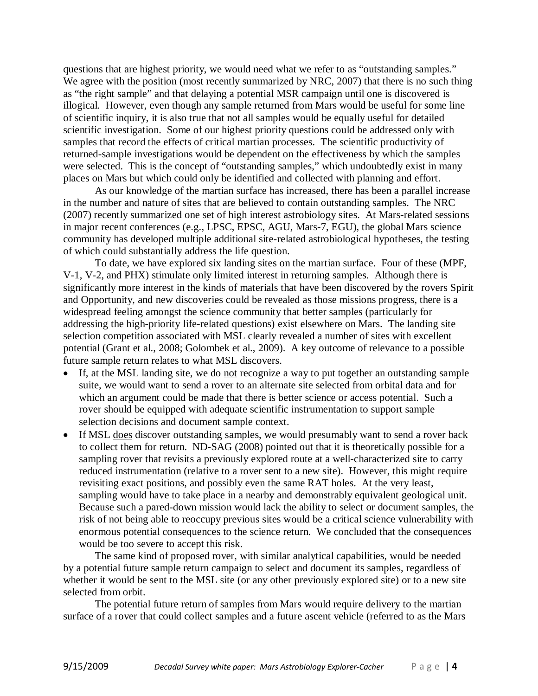questions that are highest priority, we would need what we refer to as "outstanding samples." We agree with the position (most recently summarized by NRC, 2007) that there is no such thing as "the right sample" and that delaying a potential MSR campaign until one is discovered is illogical. However, even though any sample returned from Mars would be useful for some line of scientific inquiry, it is also true that not all samples would be equally useful for detailed scientific investigation. Some of our highest priority questions could be addressed only with samples that record the effects of critical martian processes. The scientific productivity of returned-sample investigations would be dependent on the effectiveness by which the samples were selected. This is the concept of "outstanding samples," which undoubtedly exist in many places on Mars but which could only be identified and collected with planning and effort.

As our knowledge of the martian surface has increased, there has been a parallel increase in the number and nature of sites that are believed to contain outstanding samples. The NRC (2007) recently summarized one set of high interest astrobiology sites. At Mars-related sessions in major recent conferences (e.g., LPSC, EPSC, AGU, Mars-7, EGU), the global Mars science community has developed multiple additional site-related astrobiological hypotheses, the testing of which could substantially address the life question.

To date, we have explored six landing sites on the martian surface. Four of these (MPF, V-1, V-2, and PHX) stimulate only limited interest in returning samples. Although there is significantly more interest in the kinds of materials that have been discovered by the rovers Spirit and Opportunity, and new discoveries could be revealed as those missions progress, there is a widespread feeling amongst the science community that better samples (particularly for addressing the high-priority life-related questions) exist elsewhere on Mars. The landing site selection competition associated with MSL clearly revealed a number of sites with excellent potential (Grant et al., 2008; Golombek et al., 2009). A key outcome of relevance to a possible future sample return relates to what MSL discovers.

- If, at the MSL landing site, we do not recognize a way to put together an outstanding sample suite, we would want to send a rover to an alternate site selected from orbital data and for which an argument could be made that there is better science or access potential. Such a rover should be equipped with adequate scientific instrumentation to support sample selection decisions and document sample context.
- If MSL does discover outstanding samples, we would presumably want to send a rover back to collect them for return. ND-SAG (2008) pointed out that it is theoretically possible for a sampling rover that revisits a previously explored route at a well-characterized site to carry reduced instrumentation (relative to a rover sent to a new site). However, this might require revisiting exact positions, and possibly even the same RAT holes. At the very least, sampling would have to take place in a nearby and demonstrably equivalent geological unit. Because such a pared-down mission would lack the ability to select or document samples, the risk of not being able to reoccupy previous sites would be a critical science vulnerability with enormous potential consequences to the science return. We concluded that the consequences would be too severe to accept this risk.

The same kind of proposed rover, with similar analytical capabilities, would be needed by a potential future sample return campaign to select and document its samples, regardless of whether it would be sent to the MSL site (or any other previously explored site) or to a new site selected from orbit.

The potential future return of samples from Mars would require delivery to the martian surface of a rover that could collect samples and a future ascent vehicle (referred to as the Mars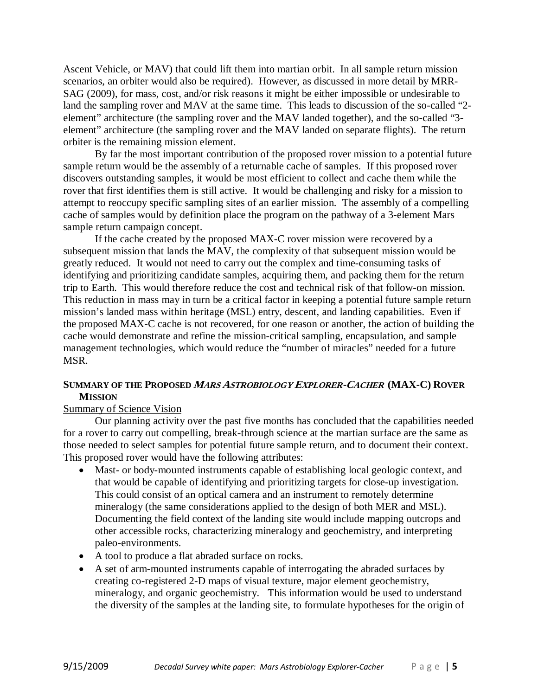Ascent Vehicle, or MAV) that could lift them into martian orbit. In all sample return mission scenarios, an orbiter would also be required). However, as discussed in more detail by MRR-SAG (2009), for mass, cost, and/or risk reasons it might be either impossible or undesirable to land the sampling rover and MAV at the same time. This leads to discussion of the so-called "2 element" architecture (the sampling rover and the MAV landed together), and the so-called "3 element" architecture (the sampling rover and the MAV landed on separate flights). The return orbiter is the remaining mission element.

By far the most important contribution of the proposed rover mission to a potential future sample return would be the assembly of a returnable cache of samples. If this proposed rover discovers outstanding samples, it would be most efficient to collect and cache them while the rover that first identifies them is still active. It would be challenging and risky for a mission to attempt to reoccupy specific sampling sites of an earlier mission. The assembly of a compelling cache of samples would by definition place the program on the pathway of a 3-element Mars sample return campaign concept.

If the cache created by the proposed MAX-C rover mission were recovered by a subsequent mission that lands the MAV, the complexity of that subsequent mission would be greatly reduced. It would not need to carry out the complex and time-consuming tasks of identifying and prioritizing candidate samples, acquiring them, and packing them for the return trip to Earth. This would therefore reduce the cost and technical risk of that follow-on mission. This reduction in mass may in turn be a critical factor in keeping a potential future sample return mission's landed mass within heritage (MSL) entry, descent, and landing capabilities. Even if the proposed MAX-C cache is not recovered, for one reason or another, the action of building the cache would demonstrate and refine the mission-critical sampling, encapsulation, and sample management technologies, which would reduce the "number of miracles" needed for a future MSR.

#### **SUMMARY OF THE PROPOSED MARS ASTROBIOLOGY EXPLORER-CACHER (MAX-C) ROVER MISSION**

#### Summary of Science Vision

Our planning activity over the past five months has concluded that the capabilities needed for a rover to carry out compelling, break-through science at the martian surface are the same as those needed to select samples for potential future sample return, and to document their context. This proposed rover would have the following attributes:

- Mast- or body-mounted instruments capable of establishing local geologic context, and that would be capable of identifying and prioritizing targets for close-up investigation. This could consist of an optical camera and an instrument to remotely determine mineralogy (the same considerations applied to the design of both MER and MSL). Documenting the field context of the landing site would include mapping outcrops and other accessible rocks, characterizing mineralogy and geochemistry, and interpreting paleo-environments.
- A tool to produce a flat abraded surface on rocks.
- A set of arm-mounted instruments capable of interrogating the abraded surfaces by creating co-registered 2-D maps of visual texture, major element geochemistry, mineralogy, and organic geochemistry. This information would be used to understand the diversity of the samples at the landing site, to formulate hypotheses for the origin of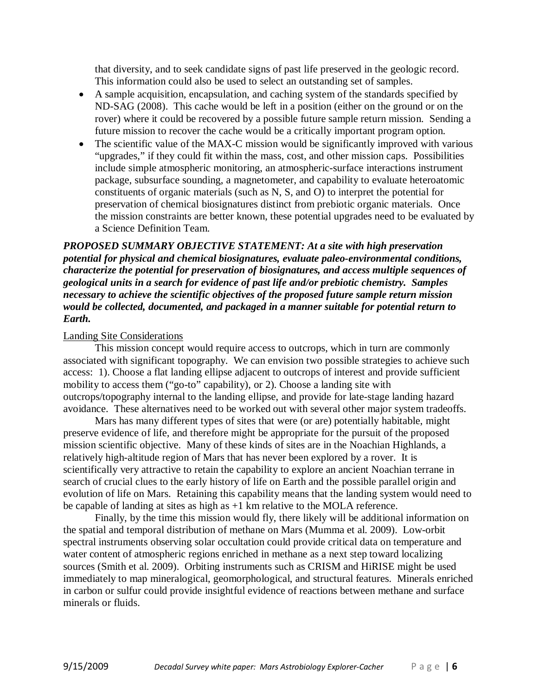that diversity, and to seek candidate signs of past life preserved in the geologic record. This information could also be used to select an outstanding set of samples.

- A sample acquisition, encapsulation, and caching system of the standards specified by ND-SAG (2008). This cache would be left in a position (either on the ground or on the rover) where it could be recovered by a possible future sample return mission. Sending a future mission to recover the cache would be a critically important program option.
- The scientific value of the MAX-C mission would be significantly improved with various "upgrades," if they could fit within the mass, cost, and other mission caps. Possibilities include simple atmospheric monitoring, an atmospheric-surface interactions instrument package, subsurface sounding, a magnetometer, and capability to evaluate heteroatomic constituents of organic materials (such as N, S, and O) to interpret the potential for preservation of chemical biosignatures distinct from prebiotic organic materials. Once the mission constraints are better known, these potential upgrades need to be evaluated by a Science Definition Team.

# *PROPOSED SUMMARY OBJECTIVE STATEMENT: At a site with high preservation potential for physical and chemical biosignatures, evaluate paleo-environmental conditions, characterize the potential for preservation of biosignatures, and access multiple sequences of geological units in a search for evidence of past life and/or prebiotic chemistry. Samples necessary to achieve the scientific objectives of the proposed future sample return mission would be collected, documented, and packaged in a manner suitable for potential return to Earth.*

#### Landing Site Considerations

This mission concept would require access to outcrops, which in turn are commonly associated with significant topography. We can envision two possible strategies to achieve such access: 1). Choose a flat landing ellipse adjacent to outcrops of interest and provide sufficient mobility to access them ("go-to" capability), or 2). Choose a landing site with outcrops/topography internal to the landing ellipse, and provide for late-stage landing hazard avoidance. These alternatives need to be worked out with several other major system tradeoffs.

Mars has many different types of sites that were (or are) potentially habitable, might preserve evidence of life, and therefore might be appropriate for the pursuit of the proposed mission scientific objective. Many of these kinds of sites are in the Noachian Highlands, a relatively high-altitude region of Mars that has never been explored by a rover. It is scientifically very attractive to retain the capability to explore an ancient Noachian terrane in search of crucial clues to the early history of life on Earth and the possible parallel origin and evolution of life on Mars. Retaining this capability means that the landing system would need to be capable of landing at sites as high as +1 km relative to the MOLA reference.

Finally, by the time this mission would fly, there likely will be additional information on the spatial and temporal distribution of methane on Mars (Mumma et al. 2009). Low-orbit spectral instruments observing solar occultation could provide critical data on temperature and water content of atmospheric regions enriched in methane as a next step toward localizing sources (Smith et al. 2009). Orbiting instruments such as CRISM and HiRISE might be used immediately to map mineralogical, geomorphological, and structural features. Minerals enriched in carbon or sulfur could provide insightful evidence of reactions between methane and surface minerals or fluids.